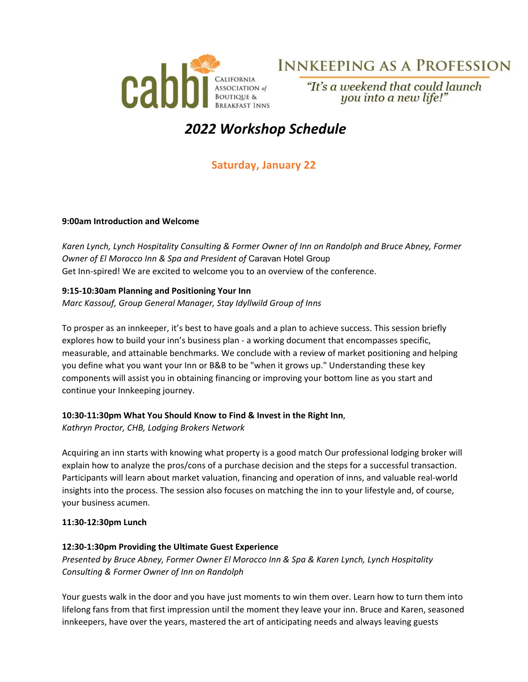

# **INNKEEPING AS A PROFESSION**

"It's a weekend that could launch you into a new life!"

# *2022 Workshop Schedule*

# **Saturday, January 22**

#### **9:00am Introduction and Welcome**

*Karen Lynch, Lynch Hospitality Consulting & Former Owner of Inn on Randolph and Bruce Abney, Former Owner of El Morocco Inn & Spa and President of* Caravan Hotel Group Get Inn‐spired! We are excited to welcome you to an overview of the conference.

# **9:15‐10:30am Planning and Positioning Your Inn**

*Marc Kassouf, Group General Manager, Stay Idyllwild Group of Inns* 

To prosper as an innkeeper, it's best to have goals and a plan to achieve success. This session briefly explores how to build your inn's business plan ‐ a working document that encompasses specific, measurable, and attainable benchmarks. We conclude with a review of market positioning and helping you define what you want your Inn or B&B to be "when it grows up." Understanding these key components will assist you in obtaining financing or improving your bottom line as you start and continue your Innkeeping journey.

## **10:30‐11:30pm What You Should Know to Find & Invest in the Right Inn**,

*Kathryn Proctor, CHB, Lodging Brokers Network*

Acquiring an inn starts with knowing what property is a good match Our professional lodging broker will explain how to analyze the pros/cons of a purchase decision and the steps for a successful transaction. Participants will learn about market valuation, financing and operation of inns, and valuable real‐world insights into the process. The session also focuses on matching the inn to your lifestyle and, of course, your business acumen.

## **11:30‐12:30pm Lunch**

## **12:30‐1:30pm Providing the Ultimate Guest Experience**

*Presented by Bruce Abney, Former Owner El Morocco Inn & Spa & Karen Lynch, Lynch Hospitality Consulting & Former Owner of Inn on Randolph*

Your guests walk in the door and you have just moments to win them over. Learn how to turn them into lifelong fans from that first impression until the moment they leave your inn. Bruce and Karen, seasoned innkeepers, have over the years, mastered the art of anticipating needs and always leaving guests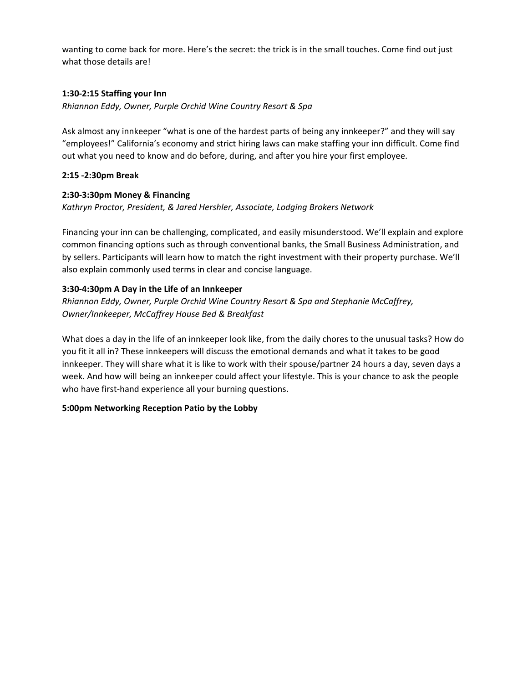wanting to come back for more. Here's the secret: the trick is in the small touches. Come find out just what those details are!

# **1:30‐2:15 Staffing your Inn**

*Rhiannon Eddy, Owner, Purple Orchid Wine Country Resort & Spa*

Ask almost any innkeeper "what is one of the hardest parts of being any innkeeper?" and they will say "employees!" California's economy and strict hiring laws can make staffing your inn difficult. Come find out what you need to know and do before, during, and after you hire your first employee.

# **2:15 ‐2:30pm Break**

# **2:30‐3:30pm Money & Financing**

*Kathryn Proctor, President, & Jared Hershler, Associate, Lodging Brokers Network* 

Financing your inn can be challenging, complicated, and easily misunderstood. We'll explain and explore common financing options such as through conventional banks, the Small Business Administration, and by sellers. Participants will learn how to match the right investment with their property purchase. We'll also explain commonly used terms in clear and concise language.

# **3:30‐4:30pm A Day in the Life of an Innkeeper**

*Rhiannon Eddy, Owner, Purple Orchid Wine Country Resort & Spa and Stephanie McCaffrey, Owner/Innkeeper, McCaffrey House Bed & Breakfast*

What does a day in the life of an innkeeper look like, from the daily chores to the unusual tasks? How do you fit it all in? These innkeepers will discuss the emotional demands and what it takes to be good innkeeper. They will share what it is like to work with their spouse/partner 24 hours a day, seven days a week. And how will being an innkeeper could affect your lifestyle. This is your chance to ask the people who have first-hand experience all your burning questions.

# **5:00pm Networking Reception Patio by the Lobby**